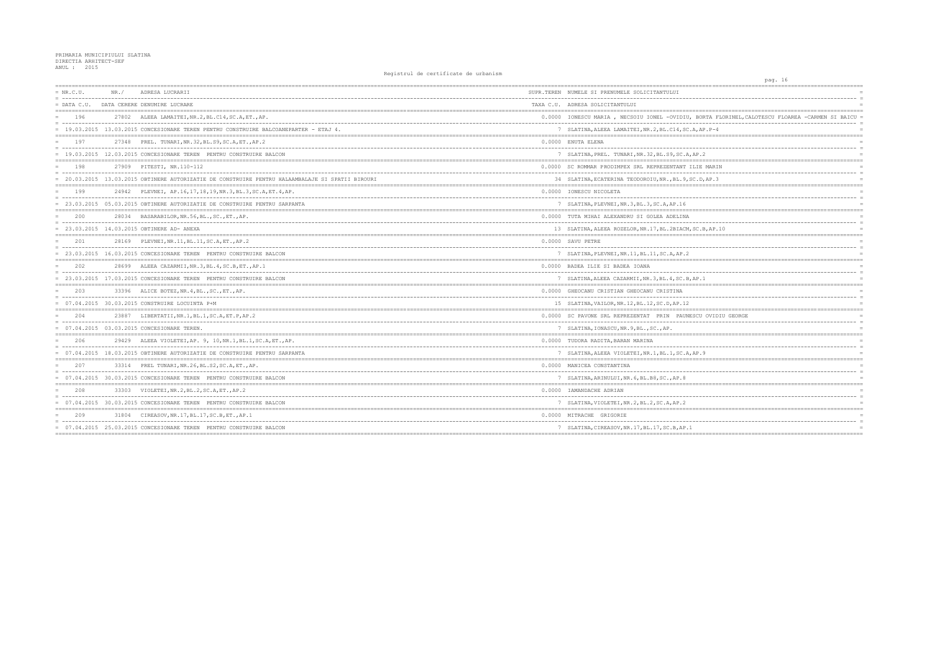| $= NR.C.U.$ | NR. / | ADRESA LUCRARII                                                                                  | SUPR.TEREN NUMELE SI PRENUMELE SOLICITANTULUI       |
|-------------|-------|--------------------------------------------------------------------------------------------------|-----------------------------------------------------|
|             |       | = DATA C.U. DATA CERERE DENUMIRE LUCRARE                                                         | TAXA C.U. ADRESA SOLICITANTULUI                     |
| 196         |       | 27802 ALEEA LAMAITEI, NR. 2, BL. C14, SC. A, ET., AP.                                            | 0.0000 IONESCU MARIA , NECSOIU IONEL -OVIDIU, BO    |
|             |       | = 19.03.2015 13.03.2015 CONCESIONARE TEREN PENTRU CONSTRUIRE BALCOANEPARTER - ETAJ 4.            | 7 SLATINA, ALEEA LAMAITEI, NR. 2, BL. C14, SC. A, A |
| 197         |       | 27348 PREL. TUNARI, NR. 32, BL. S9, SC. A, ET., AP. 2                                            | 0.0000 ENUTA ELENA                                  |
|             |       | = 19.03.2015 12.03.2015 CONCESIONARE TEREN PENTRU CONSTRUIRE BALCON                              | 7 SLATINA, PREL. TUNARI, NR. 32, BL. S9, SC. A, AP. |
| 198         |       | 27909 PITESTI, NR.110-112                                                                        | 0.0000 SC ROMMAR PRODIMPEX SRL REPREZENTANT ILIE    |
|             |       | = 20.03.2015 13.03.2015 OBTINERE AUTORIZATIE DE CONSTRUIRE PENTRU HALAAMBALAJE SI SPATII BIROURI | 34 SLATINA, ECATERINA TEODOROIU, NR., BL. 9, SC. D  |
| 199         |       | 24942 PLEVNEI, AP.16, 17, 18, 19, NR. 3, BL. 3, SC. A, ET. 4, AP.                                | 0.0000 IONESCU NICOLETA                             |
|             |       | = 23.03.2015 05.03.2015 OBTINERE AUTORIZATIE DE CONSTRUIRE PENTRU SARPANTA                       | 7 SLATINA, PLEVNEI, NR. 3, BL. 3, SC. A, AP. 16     |
| 200         |       | 28034 BASARABILOR, NR.56, BL., SC., ET., AP.                                                     | 0.0000 TUTA MIHAI ALEXANDRU SI GOLEA ADELINA        |
|             |       | 23.03.2015 14.03.2015 OBTINERE AD- ANEXA                                                         | 13 SLATINA, ALEEA ROZELOR, NR. 17, BL. 2BIACM, SC.  |
| 2.01        |       | 28169 PLEVNEI, NR. 11, BL. 11, SC. A, ET., AP. 2                                                 | 0.0000 SAVU PETRE                                   |
|             |       | = 23.03.2015 16.03.2015 CONCESIONARE TEREN PENTRU CONSTRUIRE BALCON                              | 7 SLATINA, PLEVNEI, NR. 11, BL. 11, SC. A, AP. 2    |
| 202         |       | 28699 ALEEA CAZARMII, NR. 3, BL. 4, SC. B, ET., AP. 1                                            | 0.0000 BADEA ILIE SI BADEA IOANA                    |
|             |       | = 23.03.2015 17.03.2015 CONCESIONARE TEREN PENTRU CONSTRUIRE BALCON                              | 7 SLATINA, ALEEA CAZARMII, NR. 3, BL. 4, SC. B, AP. |
| 203         |       | 33396 ALICE BOTEZ, NR. 4, BL., SC., ET., AP.                                                     | 0.0000 GHEOCANU CRISTIAN GHEOCANU CRISTINA          |
|             |       | = 07.04.2015 30.03.2015 CONSTRUIRE LOCUINTA P+M                                                  | 15 SLATINA, VAILOR, NR. 12, BL. 12, SC. D, AP. 12   |
| 204         |       | 23887 LIBERTATII, NR. 1, BL. 1, SC. A, ET. P, AP. 2                                              | 0.0000 SC PAVONE SRL REPREZENTAT PRIN PAUNESCU      |
|             |       | = 07.04.2015 03.03.2015 CONCESIONARE TEREN.                                                      | 7 SLATINA, IONASCU, NR. 9, BL., SC., AP.            |
| 206         |       | 29429 ALEEA VIOLETEI, AP. 9, 10, NR. 1, BL. 1, SC. A, ET., AP.                                   | 0.0000 TUDORA RADITA, BARAN MARINA                  |
|             |       | = 07.04.2015 18.03.2015 OBTINERE AUTORIZATIE DE CONSTRUIRE PENTRU SARPANTA                       | 7 SLATINA, ALEEA VIOLETEI, NR. 1, BL. 1, SC. A, AP. |
| 207         |       | 33314 PREL TUNARI, NR. 26, BL. S2, SC. A, ET., AP.                                               | 0.0000 MANICEA CONSTANTINA                          |
|             |       | = 07.04.2015 30.03.2015 CONCESIONARE TEREN PENTRU CONSTRUIRE BALCON                              | 7 SLATINA, ARINULUI, NR. 6, BL. B8, SC., AP. 8      |
| 208         |       | 33303 VIOLETEI, NR. 2, BL. 2, SC. A, ET., AP. 2                                                  | 0.0000 IAMANDACHE ADRIAN                            |
|             |       | = 07.04.2015 30.03.2015 CONCESIONARE TEREN PENTRU CONSTRUIRE BALCON                              | 7 SLATINA, VIOLETEI, NR. 2, BL. 2, SC. A, AP. 2     |
| 209         |       | 31804 CIREASOV, NR. 17, BL. 17, SC. B, ET., AP. 1                                                | 0.0000 MITRACHE GRIGORIE                            |
|             |       | = 07.04.2015 25.03.2015 CONCESIONARE TEREN PENTRU CONSTRUIRE BALCON                              | 7 SLATINA, CIREASOV, NR. 17, BL. 17, SC. B, AP. 1   |
|             |       |                                                                                                  |                                                     |

| pag. 16                                                      |                       |
|--------------------------------------------------------------|-----------------------|
|                                                              |                       |
|                                                              | $\equiv$              |
|                                                              |                       |
| RTA FLORINEL, CALOTESCU FLOAREA -CARMEN SI BAICU =<br>$-- -$ | $\overline{a}$        |
| $P - 4$                                                      |                       |
|                                                              |                       |
|                                                              | $\overline{a}$        |
| $\overline{c}$                                               | $\equiv$              |
| MARIN                                                        |                       |
| AP.3                                                         | $\equiv$              |
|                                                              | $=$                   |
|                                                              | $\equiv$              |
|                                                              | $\equiv$              |
|                                                              |                       |
|                                                              | $\overline{a}$        |
| 3, AP.10                                                     | $\equiv$              |
|                                                              |                       |
|                                                              | $\equiv$<br>$\equiv$  |
|                                                              |                       |
|                                                              | $\equiv$<br>$\equiv$  |
| l                                                            | Ē.                    |
|                                                              | $\equiv$              |
|                                                              | $\equiv$              |
|                                                              |                       |
| OVIDIU GEORGE                                                |                       |
|                                                              | $\overline{a}$<br>$=$ |
|                                                              |                       |
|                                                              | $\equiv$              |
| 9                                                            | $\equiv$              |
| $=$                                                          | $=$<br>Ξ              |
|                                                              | $\equiv$              |
|                                                              | $\equiv$              |
|                                                              | $\overline{a}$        |
|                                                              | $\equiv$              |
| $=$<br>-----------------------------                         |                       |
|                                                              | $\overline{a}$        |
|                                                              | $\equiv$              |
|                                                              |                       |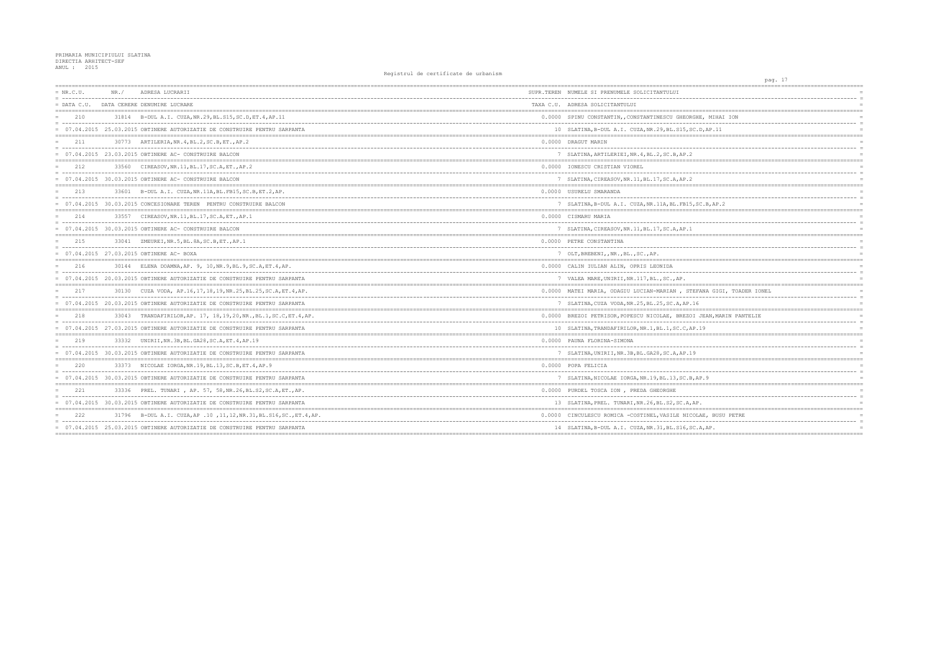| $= NR.C.U.$   | NR. / | ADRESA LUCRARII                                                            | SUPR.TEREN NUMELE SI PRENUMELE SOLICITANTULUI          |
|---------------|-------|----------------------------------------------------------------------------|--------------------------------------------------------|
| $=$ DATA C.U. |       | DATA CERERE DENUMIRE LUCRARE                                               | TAXA C.U. ADRESA SOLICITANTULUI                        |
| 210           |       | 31814 B-DUL A.I. CUZA, NR. 29, BL. S15, SC. D, ET. 4, AP. 11               | 0.0000 SPINU CONSTANTIN, CONSTANTINESCU GHEORGHE.      |
|               |       | = 07.04.2015 25.03.2015 OBTINERE AUTORIZATIE DE CONSTRUIRE PENTRU SARPANTA | 10 SLATINA, B-DUL A.I. CUZA, NR.29, BL.S15, SC.D.      |
| 211           | 30773 | ARTILERIA, NR. 4, BL. 2, SC. B, ET., AP. 2                                 | 0.0000 DRAGUT MARIN                                    |
|               |       | $= 07.04.2015$ 23.03.2015 OBTINERE AC- CONSTRUIRE BALCON                   | 7 SLATINA, ARTILERIEI, NR. 4, BL. 2, SC. B, AP. 2      |
| 212           |       | 33560 CIREASOV, NR. 11, BL. 17, SC. A, ET., AP. 2                          | 0.0000 IONESCU CRISTIAN VIOREL                         |
|               |       | 07.04.2015 30.03.2015 OBTINERE AC- CONSTRUIRE BALCON                       | 7 SLATINA, CIREASOV, NR. 11, BL. 17, SC. A, AP. 2      |
| 213           |       | 33601 B-DUL A.I. CUZA, NR. 11A, BL. FB15, SC. B, ET. 2, AP.                | 0.0000 USURELU SMARANDA                                |
|               |       | 07.04.2015 30.03.2015 CONCESIONARE TEREN PENTRU CONSTRUIRE BALCON          | 7 SLATINA, B-DUL A.I. CUZA, NR. 11A, BL. FB15, SC. 1   |
| 214           |       | 33557 CIREASOV, NR. 11, BL. 17, SC. A, ET., AP. 1                          | 0.0000 CISMARU MARIA                                   |
|               |       | 07.04.2015 30.03.2015 OBTINERE AC- CONSTRUIRE BALCON                       | 7 SLATINA, CIREASOV, NR. 11, BL. 17, SC. A, AP. 1      |
| 215           |       | 33041 ZMEUREI, NR. 5, BL. 8A, SC. B, ET., AP. 1                            | 0.0000 PETRE CONSTANTINA                               |
|               |       | = 07.04.2015 27.03.2015 OBTINERE AC- BOXA                                  | 7 OLT, BREBENI, , NR., BL., SC., AP.                   |
| 216           |       | 30144 ELENA DOAMNA, AP. 9, 10, NR. 9, BL. 9, SC. A, ET. 4, AP.             | 0.0000 CALIN IULIAN ALIN, OPRIS LEONIDA                |
|               |       | = 07.04.2015 20.03.2015 OBTINERE AUTORIZATIE DE CONSTRUIRE PENTRU SARPANTA | 7 VALEA MARE, UNIRII, NR. 117, BL., SC., AP.           |
| 217           |       | 30130 CUZA VODA, AP.16,17,18,19,NR.25,BL.25,SC.A,ET.4,AP.                  | 0.0000 MATEI MARIA, ODAGIU LUCIAN-MARIAN, STEFAN       |
|               |       | 07.04.2015 20.03.2015 OBTINERE AUTORIZATIE DE CONSTRUIRE PENTRU SARPANTA   | 7 SLATINA, CUZA VODA, NR. 25, BL. 25, SC. A, AP. 16    |
| 218           |       | 33043 TRANDAFIRILOR, AP. 17, 18, 19, 20, NR., BL. 1, SC. C, ET. 4, AP.     | 0.0000 BREZOI PETRISOR, POPESCU NICOLAE, BREZOI JE     |
|               |       | = 07.04.2015 27.03.2015 OBTINERE AUTORIZATIE DE CONSTRUIRE PENTRU SARPANTA | 10 SLATINA, TRANDAFIRILOR, NR. 1, BL. 1, SC. C, AP. 19 |
| 219           |       | 33332    UNIRII, NR. 3B, BL. GA28, SC. A, ET. 4, AP. 19                    | 0.0000 PAUNA FLORINA-SIMONA                            |
|               |       | = 07.04.2015 30.03.2015 OBTINERE AUTORIZATIE DE CONSTRUIRE PENTRU SARPANTA | 7 SLATINA, UNIRII, NR. 3B, BL. GA28, SC. A, AP. 19     |
| 220           |       | 33373 NICOLAE IORGA, NR. 19, BL. 13, SC. B, ET. 4, AP. 9                   | 0.0000 POPA FELICIA                                    |
|               |       | 07.04.2015 30.03.2015 OBTINERE AUTORIZATIE DE CONSTRUIRE PENTRU SARPANTA   | 7 SLATINA, NICOLAE IORGA, NR.19, BL.13, SC.B, AP.      |
| 221           |       | 33336 PREL. TUNARI, AP. 57, 58, NR. 26, BL. S2, SC. A, ET., AP.            | 0.0000 PURDEL TOSCA ION , PREDA GHEORGHE               |
|               |       | 07.04.2015 30.03.2015 OBTINERE AUTORIZATIE DE CONSTRUIRE PENTRU SARPANTA   | 13 SLATINA, PREL. TUNARI, NR. 26, BL. S2, SC. A, AP.   |
| 222           |       | 31796 B-DUL A.I. CUZA, AP .10 , 11, 12, NR. 31, BL. S16, SC., ET. 4, AP.   | 0.0000 CINCULESCU ROMICA -COSTINEL. VASILE NICOLAE     |
|               |       | = 07.04.2015 25.03.2015 OBTINERE AUTORIZATIE DE CONSTRUIRE PENTRU SARPANTA | 14 SLATINA, B-DUL A.I. CUZA, NR.31, BL.S16, SC.A,      |
|               |       |                                                                            |                                                        |

|                         | pag. 17 | --------------------          |          |
|-------------------------|---------|-------------------------------|----------|
|                         |         | ==========                    |          |
|                         |         |                               | $\equiv$ |
|                         |         |                               | $=$      |
| ======================= |         | ----------------------------- |          |
| HE, MIHAI ION<br>.      |         |                               |          |
| .D, AP.11               |         |                               | $=$      |
| ------------            |         | ============================= |          |
|                         |         |                               |          |
|                         |         |                               |          |
| =======                 |         |                               | $\equiv$ |
|                         |         |                               |          |
|                         |         |                               | $\equiv$ |
|                         |         |                               |          |
|                         |         |                               |          |
|                         |         |                               | $\equiv$ |
| SC.B, AP.2              |         |                               |          |
|                         |         |                               |          |
|                         |         |                               |          |
|                         |         |                               |          |
|                         |         |                               |          |
|                         |         |                               |          |
|                         |         |                               | $\equiv$ |
|                         |         |                               | $=$      |
|                         |         | $=$                           |          |
|                         |         |                               | $\equiv$ |
|                         |         |                               |          |
|                         |         |                               |          |
| FANA GIGI, TOADER IONEL |         |                               |          |
|                         |         |                               | $\equiv$ |
| 5                       |         |                               |          |
| JEAN, MARIN PANTELIE    |         |                               | $=$      |
|                         |         |                               | $\equiv$ |
| .19                     |         |                               | $=$      |
|                         |         |                               |          |
|                         |         |                               | $\equiv$ |
|                         |         |                               |          |
|                         |         |                               |          |
|                         |         |                               | $=$      |
|                         |         |                               | $\equiv$ |
| AP.9                    |         |                               |          |
|                         |         |                               |          |
|                         |         |                               |          |
| ∍.                      |         |                               |          |
|                         |         |                               |          |
| LAE, BUSU PETRE         |         |                               | $\equiv$ |
| .A, AP.                 |         |                               | $\equiv$ |
| ----------------        |         |                               |          |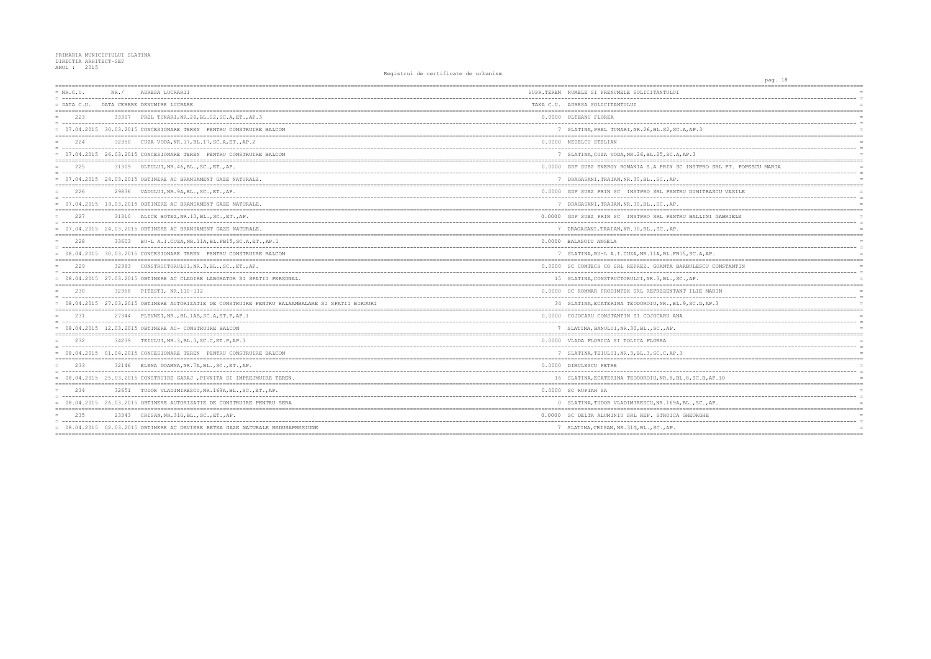| $= NR.C.U.$   | NR. / | ADRESA LUCRARII                                                                                | SUPR.TEREN NUMELE SI PRENUMELE SOLICITANTULUI        |
|---------------|-------|------------------------------------------------------------------------------------------------|------------------------------------------------------|
| $=$ DATA C.U. |       | = ------------------------------------<br>DATA CERERE DENUMIRE LUCRARE                         | TAXA C.U. ADRESA SOLICITANTULUI                      |
| 223           |       | 33307 PREL TUNARI, NR. 26, BL. S2, SC. A, ET., AP. 3                                           | 0.0000 OLTEANU FLOREA<br>------------------------    |
|               |       | = 07.04.2015 30.03.2015 CONCESIONARE TEREN PENTRU CONSTRUIRE BALCON                            | 7 SLATINA, PREL TUNARI, NR. 26, BL. S2, SC. A, AP. 3 |
| 2.2.4         | 32350 | CUZA VODA, NR.17, BL.17, SC.A, ET., AP.2                                                       | 0.0000 NEDELCU STELIAN                               |
|               |       | 07.04.2015 26.03.2015 CONCESIONARE TEREN PENTRU CONSTRUIRE BALCON                              | 7 SLATINA, CUZA VODA, NR. 26, BL. 25, SC. A, AP. 3   |
| 225           |       | 31309 OLTULUI, NR. 46, BL., SC., ET., AP.                                                      | 0.0000 GDF SUEZ ENERGY ROMANIA S.A PRIN SC INSTPI    |
|               |       | = 07.04.2015 24.03.2015 OBTINERE AC BRANSAMENT GAZE NATURALE.                                  | 7 DRAGASANI, TRAIAN, NR. 30, BL., SC., AP.           |
| 226           |       | 29836 VADULUI, NR. 9A, BL., SC., ET., AP.                                                      | 0.0000 GDF SUEZ PRIN SC INSTPRO SRL PENTRU DUMI'     |
|               |       | 07.04.2015 19.03.2015 OBTINERE AC BRANSAMENT GAZE NATURALE.                                    | 7 DRAGASANI, TRAIAN, NR. 30, BL., SC., AP.           |
| 227           |       | 31310 ALICE BOTEZ, NR.10, BL., SC., ET., AP.                                                   | 0.0000 GDF SUEZ PRIN SC INSTPRO SRL PENTRU BALL      |
|               |       | 07.04.2015 24.03.2015 OBTINERE AC BRANSAMENT GAZE NATURALE.                                    | 7 DRAGASANI, TRAIAN, NR. 30, BL., SC., AP.           |
| 228           |       | 33603 BU-L A.I.CUZA, NR.11A, BL.FB15, SC.A, ET., AP.1                                          | 0.0000 BALASOIU ANGELA                               |
|               |       | = 08.04.2015 30.03.2015 CONCESIONARE TEREN PENTRU CONSTRUIRE BALCON                            | 7 SLATINA, BU-L A.I.CUZA, NR.11A, BL.FB15, SC.A      |
| 229           |       | 32983 CONSTRUCTORULUI, NR. 3, BL., SC., ET., AP.                                               | 0.0000 SC COMTECH CO SRL REPREZ. GOANTA BARBULES     |
|               |       | = 08.04.2015 27.03.2015 OBTINERE AC CLADIRE LABORATOR SI SPATII PERSONAL.                      | 15 SLATINA, CONSTRUCTORULUI, NR. 3, BL., SC., AP.    |
| 230           |       | 32968 PITESTI, NR.110-112                                                                      | 0.0000 SC ROMMAR PRODIMPEX SRL REPREZENTANT ILIE     |
|               |       | 08.04.2015 27.03.2015 OBTINERE AUTORIZATIE DE CONSTRUIRE PENTRU HALAAMBALARE SI SPATII BIROURI | 34 SLATINA, ECATERINA TEODOROIU, NR., BL. 9, SC. D   |
| 2.31          |       | 27344 PLEVNEI, NR., BL.1AB, SC.A, ET.P, AP.1                                                   | 0.0000 COJOCARU CONSTANTIN SI COJOCARU ANA           |
|               |       | $= 08.04.2015$ 12.03.2015 OBTINERE AC- CONSTRUIRE BALCON                                       | 7 SLATINA, BANULUI, NR.30, BL., SC., AP.             |
| 232           |       | 34239 TEIULUI.NR.3.BL.3.SC.C.ET.P.AP.3                                                         | 0.0000 VLADA FLORICA SI TOLICA FLOREA                |
|               |       | = 08.04.2015 01.04.2015 CONCESIONARE TEREN PENTRU CONSTRUIRE BALCON                            | 7 SLATINA, TEIULUI, NR. 3, BL. 3, SC. C, AP. 3       |
| 233           |       | 32146 ELENA DOAMNA, NR. 7A, BL., SC., ET., AP.                                                 | 0.0000 DIMULESCU PETRE                               |
|               |       | = 08.04.2015 25.03.2015 CONSTRUIRE GARAJ, PIVNITA SI IMPREJMUIRE TEREN.                        | 16 SLATINA, ECATERINA TEODOROIU, NR. 8, BL. 8, SC.   |
| 234           |       | 32651 TUDOR VLADIMIRESCU, NR. 169A, BL., SC., ET., AP.                                         | 0.0000 SC RUPIAH SA                                  |
|               |       | = 08.04.2015 26.03.2015 OBTINERE AUTORIZATIE DE CONSTRUIRE PENTRU SERA                         | 0 SLATINA, TUDOR VLADIMIRESCU, NR. 169A, BL., SC     |
| 235           |       | 23343 CRISAN, NR. 31G, BL., SC., ET., AP.                                                      | 0.0000 SC DELTA ALUMINIU SRL REP. STROICA GHEORG     |
|               |       | = 08.04.2015 02.03.2015 OBTINERE AC DEVIERE RETEA GAZE NATURALE REDUSAPRESIUNE                 | 7 SLATINA, CRISAN, NR. 31G, BL., SC., AP.            |
|               |       |                                                                                                |                                                      |

| pag. 18                                                                          |  |
|----------------------------------------------------------------------------------|--|
| ========<br>======<br>$=$                                                        |  |
| $=$                                                                              |  |
| $=$                                                                              |  |
| -----------------------------<br>-------------------<br>$\equiv$                 |  |
| $=$                                                                              |  |
| $=$                                                                              |  |
|                                                                                  |  |
| $=$<br>$\equiv$                                                                  |  |
| $=$                                                                              |  |
| ----------------------------------<br>$=$                                        |  |
| RO SRL PT. POPESCU MARIA<br>$=$<br>$=$                                           |  |
| $=$                                                                              |  |
| =========                                                                        |  |
| TRASCU VASILE<br>$\equiv$                                                        |  |
| $--$<br>$=$<br>$=$                                                               |  |
|                                                                                  |  |
| INI GABRIELE                                                                     |  |
| $\equiv$                                                                         |  |
| $=$<br>$=$<br>======                                                             |  |
| $=$                                                                              |  |
|                                                                                  |  |
| , $AP$ .<br>$\equiv$<br>-------------------------------------<br>$=$ $=$ $=$ $=$ |  |
| CU CONSTANTIN<br>$=$                                                             |  |
| $=$                                                                              |  |
| $=$                                                                              |  |
| ========<br>MARIN<br>$=$                                                         |  |
| $---$<br>$=$                                                                     |  |
| AP.3<br>$=$                                                                      |  |
| $=$                                                                              |  |
| $\equiv$                                                                         |  |
| $\equiv$                                                                         |  |
| ==========                                                                       |  |
| $=$<br>$=$                                                                       |  |
| $=$                                                                              |  |
| .=========                                                                       |  |
| $=$                                                                              |  |
| .<br>$=$<br>3,AP.10<br>$=$                                                       |  |
|                                                                                  |  |
| $=$                                                                              |  |
| $=$<br>$=$                                                                       |  |
| $\cdot$ , AP.                                                                    |  |
| HΕ                                                                               |  |
|                                                                                  |  |
| $=$                                                                              |  |
|                                                                                  |  |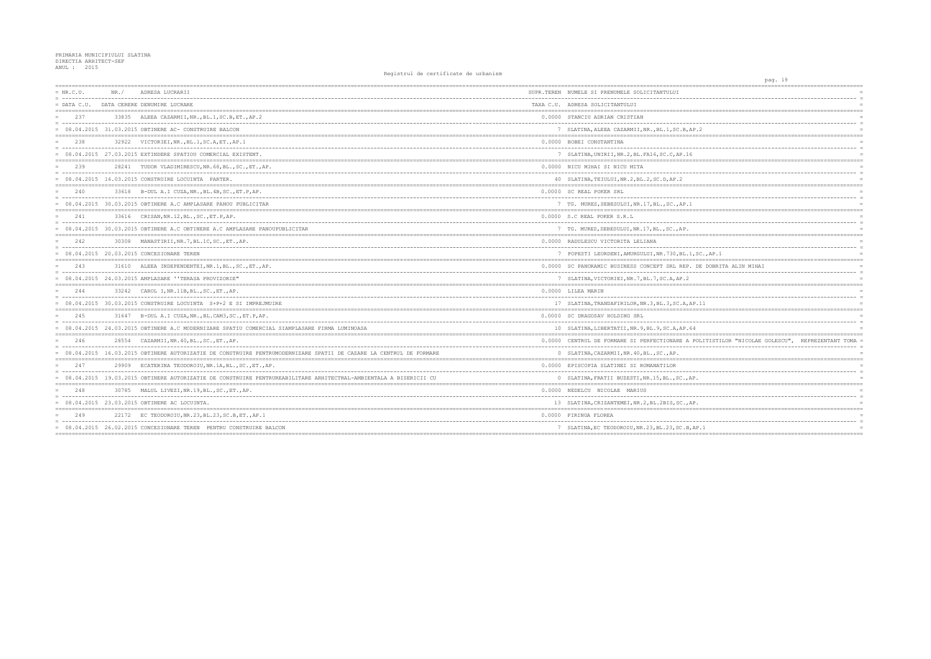| $= NR.C.U.$   | NR. / | ADRESA LUCRARII                                                                                                     | SUPR.TEREN NUMELE SI PRENUMELE SOLICITANTULUI         |
|---------------|-------|---------------------------------------------------------------------------------------------------------------------|-------------------------------------------------------|
| $=$ DATA C.U. |       | DATA CERERE DENUMIRE LUCRARE                                                                                        | TAXA C.U. ADRESA SOLICITANTULUI                       |
| 237           |       | 33835 ALEEA CAZARMII, NR., BL.1, SC.B, ET., AP.2                                                                    | 0.0000 STANCIU ADRIAN CRISTIAN                        |
|               |       | $= 08.04.2015$ 31.03.2015 OBTINERE AC- CONSTRUIRE BALCON                                                            | 7 SLATINA, ALEEA CAZARMII, NR., BL.1, SC.B, AP.2      |
| 238           |       | 32922 VICTORIEI, NR., BL.1, SC.A, ET., AP.1                                                                         | 0.0000 BOBEI CONSTANTINA                              |
|               |       | $= 08.04.2015 27.03.2015$ EXTINDERE SPATIOU COMERCIAL EXISTENT.                                                     | 7 SLATINA, UNIRII, NR. 2, BL. FA16, SC. C, AP. 16     |
| 239           |       | 28241 TUDOR VLADIMIRESCU, NR. 68, BL., SC., ET., AP.                                                                | 0.0000 NICU MIHAI SI NICU MITA                        |
|               |       | $= 08.04.2015$ 16.03.2015 CONSTRUIRE LOCUINTA PARTER.                                                               | 40 SLATINA, TEIULUI, NR. 2, BL. 2, SC. D, AP. 2       |
| 240           |       | 33618 B-DUL A.I CUZA, NR., BL. 4B, SC., ET. P, AP.                                                                  | 0.0000 SC REAL POKER SRL                              |
|               |       | = 08.04.2015 30.03.2015 OBTINERE A.C AMPLASARE PANOU PUBLICITAR                                                     | 7 TG. MURES, SEBESULUI, NR.17, BL., SC., AP.1         |
| 241           |       | 33616 CRISAN, NR. 12, BL., SC., ET. P, AP.                                                                          | 0.0000 S.C REAL POKER S.R.L                           |
|               |       | 08.04.2015 30.03.2015 OBTINERE A.C OBTINERE A.C AMPLASARE PANOUPUBLICITAR                                           | 7 TG. MURES, SEBESULUI, NR.17, BL., SC., AP.          |
| 2.42          |       | 30308 MANASTIRII, NR. 7, BL. 1C, SC., ET., AP.                                                                      | 0.0000 RADULESCU VICTORITA LELIANA                    |
|               |       | = 08.04.2015 20.03.2015 CONCESIONARE TEREN                                                                          | 7 POPESTI LEORDENI, AMURGULUI, NR. 730, BL. 1, SC     |
| 243           |       | 31610 ALEEA INDEPENDENTEI, NR. 1, BL., SC., ET., AP.                                                                | 0.0000 SC PANORAMIC BUSINESS CONCEPT SRL REP. DE      |
|               |       | = 08.04.2015 24.03.2015 AMPLASARE "TERASA PROVIZORIE"                                                               | 7 SLATINA, VICTORIEI, NR. 7, BL. 7, SC. A, AP. 2      |
| 244           |       | 33242 CAROL I, NR. 11B, BL., SC., ET., AP.                                                                          | 0.0000 LILEA MARIN                                    |
|               |       | 08.04.2015 30.03.2015 CONSTRUIRE LOCUINTA S+P+2 E SI IMPREJMUIRE                                                    | 17 SLATINA, TRANDAFIRILOR, NR. 3, BL. 3, SC. A, AP. 1 |
| 245           |       | 31647 B-DUL A.I CUZA, NR., BL.CAM3, SC., ET.P, AP.                                                                  | 0.0000 SC DRAGOSAV HOLDING SRL                        |
|               |       | = 08.04.2015 24.03.2015 OBTINERE A.C MODERNIZARE SPATIU COMERCIAL SIAMPLASARE FIRMA LUMINOASA                       | 10 SLATINA, LIBERTATII, NR. 9, BL. 9, SC. A, AP. 64   |
| 246           |       | 28554 CAZARMII, NR. 40, BL., SC., ET., AP.                                                                          | 0.0000 CENTRUL DE FORMARE SI PERFECTIONARE A POL      |
|               |       | = 08.04.2015 16.03.2015 OBTINERE AUTORIZATIE DE CONSTRUIRE PENTRUMODERNIZARE SPATII DE CAZARE LA CENTRUL DE FORMARE | 0 SLATINA, CAZARMII, NR. 40, BL., SC., AP.            |
| 247           |       | 29909 ECATERINA TEODOROIU, NR. 1A, BL., SC., ET., AP.                                                               | 0.0000 EPISCOPIA SLATINEI SI ROMANATILOR              |
|               |       | = 08.04.2015 19.03.2015 OBTINERE AUTORIZATIE DE CONSTRUIRE PENTRUREABILITARE ARHITECTRAL-AMBIENTALA A BISERICII CU  | 0 SLATINA, FRATII BUZESTI, NR. 15, BL., SC., AP.      |
| 248           |       | 30785 MALUL LIVEZI, NR. 19, BL., SC., ET., AP.                                                                      | 0.0000 NEDELCU NICOLAE MARIUS                         |
|               |       | = 08.04.2015 23.03.2015 OBTINERE AC LOCUINTA.                                                                       | 13 SLATINA, CRIZANTEMEI, NR. 2, BL. 2BIS, SC., AP.    |
| 249           |       | 22172 EC TEODOROIU, NR. 23, BL. 23, SC. B, ET., AP. 1                                                               | 0.0000 PIRINGA FLOREA                                 |
|               |       | = 08.04.2015 26.02.2015 CONCESIONARE TEREN PENTRU CONSTRUIRE BALCON                                                 | 7 SLATINA, EC TEODOROIU, NR. 23, BL. 23, SC. B, AP.   |
|               |       |                                                                                                                     |                                                       |

| pag. 19                                          |                            |
|--------------------------------------------------|----------------------------|
|                                                  |                            |
|                                                  | $\overline{a}$             |
|                                                  | $\equiv$                   |
| --------------------------------------           |                            |
|                                                  | $\equiv$                   |
|                                                  | $\overline{a}$             |
| $=$ $=$                                          |                            |
|                                                  |                            |
|                                                  | $\overline{a}$             |
|                                                  |                            |
|                                                  |                            |
|                                                  | $\overline{a}$             |
|                                                  | $\overline{a}$             |
|                                                  |                            |
|                                                  | $=$                        |
|                                                  | $\equiv$                   |
|                                                  | $\equiv$                   |
|                                                  |                            |
|                                                  |                            |
|                                                  | $\equiv$                   |
| ==========                                       |                            |
|                                                  |                            |
|                                                  | $\equiv$                   |
| $,$ $AP.1$                                       | $\equiv$                   |
| ;===================================             |                            |
| DOBRITA ALIN MIHAI                               |                            |
|                                                  | $\overline{a}$<br>$\equiv$ |
|                                                  | $=$                        |
|                                                  |                            |
|                                                  |                            |
| 1                                                |                            |
| =======<br>;=========================            |                            |
|                                                  | $\equiv$                   |
|                                                  | $\overline{a}$             |
|                                                  | $\equiv$<br>$=$ $=$ $=$    |
| ITISTILOR "NICOLAE GOLESCU", REPREZENTANT TOMA = |                            |
|                                                  | $\equiv$                   |
|                                                  |                            |
|                                                  |                            |
|                                                  |                            |
|                                                  |                            |
|                                                  |                            |
|                                                  |                            |
|                                                  | $\overline{a}$             |
|                                                  | $\equiv$                   |
| -----------------------------                    |                            |
|                                                  |                            |
| $\mathbf{1}$                                     | $\equiv$<br>$\equiv$       |
| =====                                            |                            |
|                                                  |                            |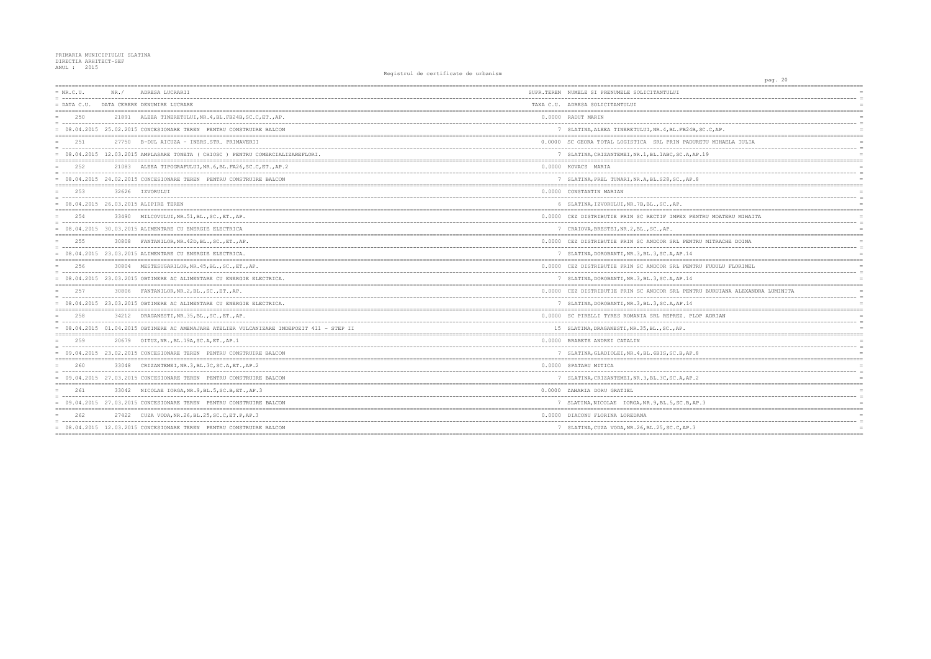| $= NR.C.U.$   | NR. / | ADRESA LUCRARII                                                                           | SUPR.TEREN NUMELE SI PRENUMELE SOLICITANTULUI       |
|---------------|-------|-------------------------------------------------------------------------------------------|-----------------------------------------------------|
| $=$ DATA C.U. |       | DATA CERERE DENUMIRE LUCRARE                                                              | TAXA C.U. ADRESA SOLICITANTULUI                     |
| 2.50          |       | 21891 ALEEA TINERETULUI.NR.4.BL.FB24B.SC.C.ETAP.                                          | 0.0000 RADUT MARIN                                  |
|               |       | 08.04.2015 25.02.2015 CONCESIONARE TEREN PENTRU CONSTRUIRE BALCON                         | 7 SLATINA, ALEEA TINERETULUI, NR. 4, BL. FB24B, S   |
| 251           |       | 27750 B-DUL AICUZA - INERS.STR. PRIMAVERII                                                | 0.0000 SC GEORA TOTAL LOGISTICA SRL PRIN PADURE'    |
|               |       | = 08.04.2015 12.03.2015 AMPLASARE TONETA ( CHIOSC ) PENTRU COMERCIALIZAREFLORI.           | 7 SLATINA, CRIZANTEMEI, NR.1, BL.1ABC, SC.A, AP.    |
| 2.52          |       | 21083 ALEEA TIPOGRAFULUI, NR. 6, BL. FA26, SC. C, ET., AP. 2                              | 0.0000 KOVACS MARIA                                 |
|               |       | = 08.04.2015 24.02.2015 CONCESIONARE TEREN PENTRU CONSTRUIRE BALCON                       | 7 SLATINA, PREL TUNARI, NR.A, BL.S28, SC., AP.8     |
| 2.53          |       | 32626 IZVORULUI                                                                           | 0.0000 CONSTANTIN MARIAN                            |
|               |       | = 08.04.2015 26.03.2015 ALIPIRE TEREN                                                     | 6 SLATINA, IZVORULUI, NR. 7B, BL., SC., AP.         |
| 2.54          |       | 33490 MILCOVULUI, NR.51, BL., SC., ET., AP.                                               | 0.0000 CEZ DISTRIBUTIE PRIN SC RECTIF IMPEX PENTI   |
|               |       | 08.04.2015 30.03.2015 ALIMENTARE CU ENERGIE ELECTRICA                                     | 7 CRAIOVA, BRESTEI, NR.2, BL., SC., AP.             |
| 2.5.5         | 30808 | FANTANILOR, NR. 42D, BL., SC., ET., AP.                                                   | 0.0000 CEZ DISTRIBUTIE PRIN SC ANDCOR SRL PENTRU    |
|               |       | = 08.04.2015 23.03.2015 ALIMENTARE CU ENERGIE ELECTRICA.                                  | 7 SLATINA, DOROBANTI, NR.3, BL.3, SC.A, AP.14       |
| 256           | 30804 | MESTESUGARILOR, NR. 45, BL., SC., ET., AP.                                                | 0.0000 CEZ DISTRIBUTIE PRIN SC ANDCOR SRL PENTRU    |
|               |       | = 08.04.2015 23.03.2015 OBTINERE AC ALIMENTARE CU ENERGIE ELECTRICA.                      | 7 SLATINA, DOROBANTI, NR. 3, BL. 3, SC. A, AP. 14   |
| 257           |       | 30806 FANTANILOR, NR. 2, BL., SC., ET., AP.                                               | 0.0000 CEZ DISTRIBUTIE PRIN SC ANDCOR SRL PENTRU    |
|               |       | = 08.04.2015 23.03.2015 OBTINERE AC ALIMENTARE CU ENERGIE ELECTRICA.                      | 7 SLATINA, DOROBANTI, NR.3, BL.3, SC.A, AP.14       |
| 2.58          |       | 34212 DRAGANESTI, NR. 35, BL., SC., ET., AP.                                              | 0.0000 SC PIRELLI TYRES ROMANIA SRL REPREZ. PLOP    |
|               |       | = 08.04.2015 01.04.2015 OBTINERE AC AMENAJARE ATELIER VULCANIZARE INDEPOZIT 411 - STEP II | 15 SLATINA, DRAGANESTI, NR. 35, BL., SC., AP.       |
| 259           |       | 20679 OITUZ, NR., BL.19A, SC.A, ET., AP.1                                                 | 0.0000 BRABETE ANDREI CATALIN                       |
|               |       | = 09.04.2015 23.02.2015 CONCESIONARE TEREN PENTRU CONSTRUIRE BALCON                       | 7 SLATINA, GLADIOLEI, NR. 4, BL. 6BIS, SC. B, AP. 8 |
| 260           |       | 33048 CRIZANTEMEI, NR. 3, BL. 3C, SC. A, ET., AP. 2                                       | 0.0000 SPATARU MITICA                               |
|               |       | = 09.04.2015 27.03.2015 CONCESIONARE TEREN PENTRU CONSTRUIRE BALCON                       | 7 SLATINA, CRIZANTEMEI, NR. 3, BL. 3C, SC. A, AP. 2 |
| 2.61          |       | 33042 NICOLAE IORGA, NR. 9, BL. 5, SC. B, ET., AP. 3                                      | 0.0000 ZAHARIA DORU GRATIEL                         |
|               |       | = 09.04.2015 27.03.2015 CONCESIONARE TEREN PENTRU CONSTRUIRE BALCON                       | 7 SLATINA, NICOLAE IORGA, NR. 9, BL. 5, SC. B, AP.  |
| 2.62          |       | 27422 CUZA VODA, NR. 26, BL. 25, SC. C, ET. P, AP. 3                                      | 0.0000 DIACONU FLORINA LOREDANA                     |
|               |       | = 08.04.2015 12.03.2015 CONCESIONARE TEREN PENTRU CONSTRUIRE BALCON                       | 7 SLATINA, CUZA VODA, NR. 26, BL. 25, SC. C, AP. 3  |
|               |       |                                                                                           |                                                     |

| pag. 20                                               |
|-------------------------------------------------------|
| .==========<br>------<br>$=$                          |
| $\equiv$                                              |
|                                                       |
| ========<br>$=$                                       |
| $=$                                                   |
| C.C, AP.<br>$=$                                       |
| $= - -$<br>------------------------<br>$=$ $=$<br>$=$ |
| TU MIHAELA IULIA<br>$=$                               |
| L 9<br>$=$                                            |
|                                                       |
| $\equiv$                                              |
| $=$                                                   |
| ========                                              |
| $=$<br>$\equiv$                                       |
| $=$                                                   |
| ========                                              |
| RU MOATERU MIHAITA<br>$=$<br>$=$                      |
| $=$                                                   |
|                                                       |
| MITRACHE DOINA<br>$\equiv$                            |
| $\equiv$<br>$=$                                       |
|                                                       |
| FUDULU FLORINEL<br>$=$                                |
| $=$<br>$=$                                            |
| ==========<br>$=$<br>$=$ $=$ $=$ $=$                  |
| BURUIANA ALEXANDRA LUMINITA<br>$=$                    |
| --------<br>$\equiv$<br>$=$                           |
| ========                                              |
| ADRIAN<br>$=$                                         |
| $=$<br>$=$                                            |
|                                                       |
| $=$                                                   |
| $\equiv$                                              |
| $=$<br>--------                                       |
| $=$                                                   |
| $\equiv$                                              |
| $=$<br>========                                       |
| $\equiv$                                              |
| $\overline{\phantom{a}}$<br>$=$                       |
| $\overline{\mathbf{3}}$<br>$=$                        |
| $=$                                                   |
|                                                       |
| $=$                                                   |
|                                                       |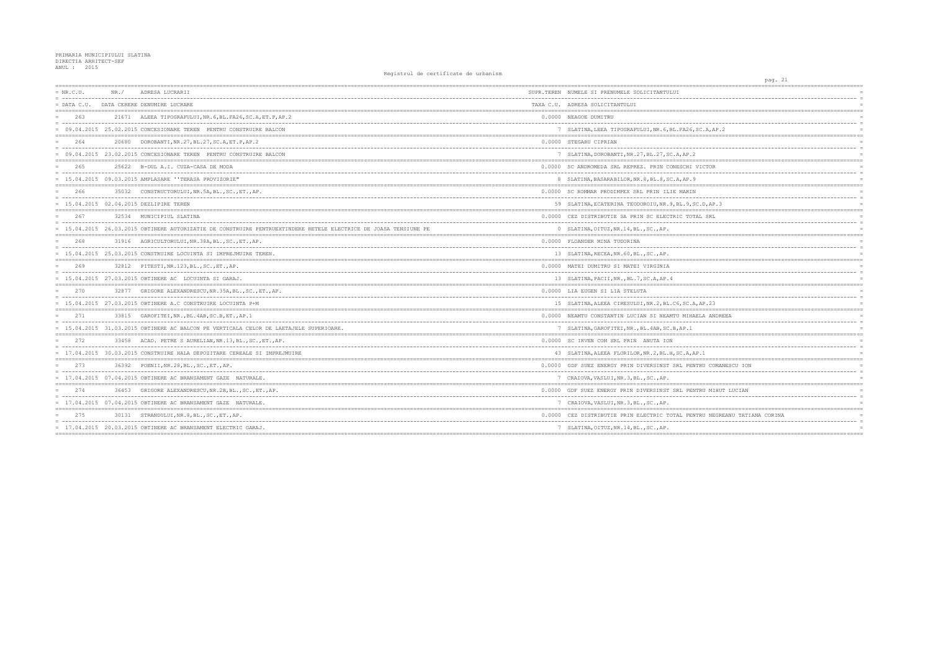| $= NR.C.U.$   | NR. / | ADRESA LUCRARII                                                                                                | SUPR.TEREN NUMELE SI PRENUMELE SOLICITANTULUI        |
|---------------|-------|----------------------------------------------------------------------------------------------------------------|------------------------------------------------------|
| $=$ DATA C.U. |       | ------------------------<br>DATA CERERE DENUMIRE LUCRARE                                                       | TAXA C.U. ADRESA SOLICITANTULUI                      |
| 263           |       | 21671 ALEEA TIPOGRAFULUI.NR. 6.BL. FA26.SC.A.ET.P.AP.2                                                         | 0.0000 NEAGOE DUMITRU                                |
|               |       | = 09.04.2015 25.02.2015 CONCESIONARE TEREN PENTRU CONSTRUIRE BALCON                                            | 7 SLATINA, LEEA TIPOGRAFULUI, NR. 6, BL. FA26, SC    |
| 264           | 20680 | DOROBANTI, NR. 27, BL. 27, SC. A, ET. P, AP. 2                                                                 | 0.0000 STEGARU CIPRIAN                               |
|               |       | 09.04.2015 23.02.2015 CONCESIONARE TEREN PENTRU CONSTRUIRE BALCON                                              | 7 SLATINA, DOROBANTI, NR. 27, BL. 27, SC. A, AP. 2   |
| 265           | 25622 | B-DUL A.I. CUZA-CASA DE MODA<br>----------------------------------                                             | 0.0000 SC ANDROMEDA SRL REPREZ. PRIN CONESCHI VI     |
|               |       | $= 15.04.2015 09.03.2015$ AMPLASARE ''TERASA PROVIZORIE"                                                       | 8 SLATINA, BASARABILOR, NR. 8, BL. 8, SC. A, AP. 9   |
| 266           |       | 35032 CONSTRUCTORULUI, NR.5A, BL., SC., ET., AP.                                                               | 0.0000 SC ROMMAR PRODIMPEX SRL PRIN ILIE MARIN       |
|               |       | = 15.04.2015 02.04.2015 DEZLIPIRE TEREN                                                                        | 59 SLATINA, ECATERINA TEODOROIU, NR. 9, BL. 9, SC.   |
| 267           |       | 32534 MUNICIPIUL SLATINA                                                                                       | 0.0000 CEZ DISTRIBUTIE SA PRIN SC ELECTRIC TOTAL     |
|               |       | 15.04.2015 26.03.2015 OBTINERE AUTORIZATIE DE CONSTRUIRE PENTRUEXTINDERE RETELE ELECTRICE DE JOASA TENSIUNE PE | 0 SLATINA, OITUZ, NR. 14, BL., SC., AP.              |
| 268           |       | 31916 AGRICULTORULUI, NR. 38A, BL., SC., ET., AP.                                                              | 0.0000 FLOANDER MINA TUDORINA                        |
|               |       | = 15.04.2015 25.03.2015 CONSTRUIRE LOCUINTA SI IMPREJMUIRE TEREN.                                              | 13 SLATINA, RECEA, NR. 60, BL., SC., AP.             |
| 269           | 32812 | PITESTI, NR.123, BL., SC., ET., AP.                                                                            | 0.0000 MATEI DUMITRU SI MATEI VIRGINIA               |
|               |       | $= 15.04.2015 27.03.2015$ OBTINERE AC LOCUINTA SI GARAJ                                                        | 13 SLATINA, PACII, NR., BL.7, SC.A, AP. 4            |
| 270           |       | 32877 GRIGORE ALEXANDRESCU, NR. 35A, BL., SC., ET., AP.                                                        | 0.0000 LIA EUGEN SI LIA STELUTA                      |
|               |       | $= 15.04.2015 27.03.2015$ OBTINERE A.C CONSTRUIRE LOCUINTA P+M                                                 | 15 SLATINA, ALEEA CIRESULUI, NR. 2, BL. C6, SC. A, A |
| 271           |       | 33815 GAROFITEI, NR., BL. 4AB, SC. B, ET., AP. 1                                                               | 0.0000 NEAMTU CONSTANTIN LUCIAN SI NEAMTU MIHAEL     |
|               |       | = 15.04.2015 31.03.2015 OBTINERE AC BALCON PE VERTICALA CELOR DE LAETAJELE SUPERIOARE                          | 7 SLATINA, GAROFITEI, NR., BL. 4AB, SC. B, AP. 1     |
| 2.72          |       | 33458 ACAD. PETRE S AURELIAN, NR.13, BL., SC., ET., AP.                                                        | 0.0000 SC IRVEN COM SRL PRIN ANUTA ION               |
|               |       | 17.04.2015 30.03.2015 CONSTRUIRE HALA DEPOZITARE CEREALE SI IMPREJMUIRE                                        | 43 SLATINA, ALEEA FLORILOR, NR. 2, BL. H, SC. A, AP. |
| 273           |       | 36392 POENII, NR. 28, BL., SC., ET., AP.                                                                       | 0.0000 GDF SUEZ ENERGY PRIN DIVERSINST SRL PENTF     |
|               |       | $= 17.04.2015 07.04.2015 $ OBTINERE AC BRANSAMENT GAZE NATURALE.                                               | 7 CRAIOVA, VASLUI, NR. 3, BL., SC., AP.              |
| 274           | 36453 | GRIGORE ALEXANDRESCU, NR.2B, BL., SC., ET., AP.                                                                | 0.0000 GDF SUEZ ENERGY PRIN DIVERSINST SRL PENTR     |
|               |       | = 17.04.2015 07.04.2015 OBTINERE AC BRANSAMENT GAZE NATURALE.                                                  | 7 CRAIOVA, VASLUI, NR. 3, BL., SC., AP.              |
| 275           |       | 30131 STRANDULUI, NR. 8, BL., SC., ET., AP.                                                                    | 0.0000 CEZ DISTRIBUTIE PRIN ELECTRIC TOTAL PENTR     |
|               |       | = 17.04.2015 20.03.2015 OBTINERE AC BRANSAMENT ELECTRIC GARAJ.                                                 | 7 SLATINA, OITUZ, NR. 14, BL., SC., AP.              |
|               |       |                                                                                                                |                                                      |

|                                                     | pag. 21 |                      |                 |
|-----------------------------------------------------|---------|----------------------|-----------------|
| ================                                    |         | .=================== |                 |
|                                                     |         |                      | $\equiv$        |
|                                                     |         |                      | $=$             |
|                                                     |         | __________           |                 |
|                                                     |         |                      |                 |
|                                                     |         |                      |                 |
| C.A, AP.2<br>------------------------------------   |         | :========            |                 |
|                                                     |         |                      |                 |
|                                                     |         |                      | $\equiv$        |
|                                                     |         |                      | $=$             |
|                                                     |         |                      |                 |
| ICTOR                                               |         |                      | $=$<br>$\equiv$ |
|                                                     |         |                      |                 |
|                                                     |         |                      |                 |
|                                                     |         |                      | $=$             |
|                                                     |         |                      | $\equiv$        |
| .D, AP.3                                            |         |                      | $=$             |
|                                                     |         | $=$                  |                 |
| L SRL                                               |         |                      | $\equiv$        |
|                                                     |         |                      |                 |
|                                                     |         |                      |                 |
|                                                     |         |                      |                 |
|                                                     |         |                      | $\equiv$        |
|                                                     |         |                      |                 |
|                                                     |         |                      |                 |
|                                                     |         |                      | $\equiv$        |
|                                                     |         |                      | $=$             |
|                                                     |         | $=$                  |                 |
|                                                     |         |                      |                 |
|                                                     |         |                      | $\equiv$        |
| AP.23                                               |         |                      |                 |
| LA ANDREEA                                          |         |                      |                 |
|                                                     |         |                      | $\equiv$        |
|                                                     |         |                      |                 |
|                                                     |         |                      |                 |
|                                                     |         |                      |                 |
|                                                     |         |                      |                 |
| $\cdot$ 1<br>-------------------------------------- |         | ========             |                 |
| RU COMANESCU ION                                    |         |                      |                 |
|                                                     |         |                      | $\equiv$        |
|                                                     |         |                      | $=$             |
| --------------------------------------              |         |                      |                 |
| RU MIHUT LUCIAN                                     |         |                      |                 |
|                                                     |         |                      | $=$<br>$=$      |
| $=$<br>;================================            |         |                      |                 |
| RU NEGREANU TATIANA CORINA                          |         |                      |                 |
|                                                     |         |                      |                 |
|                                                     |         |                      | $=$             |
| ===========                                         |         |                      |                 |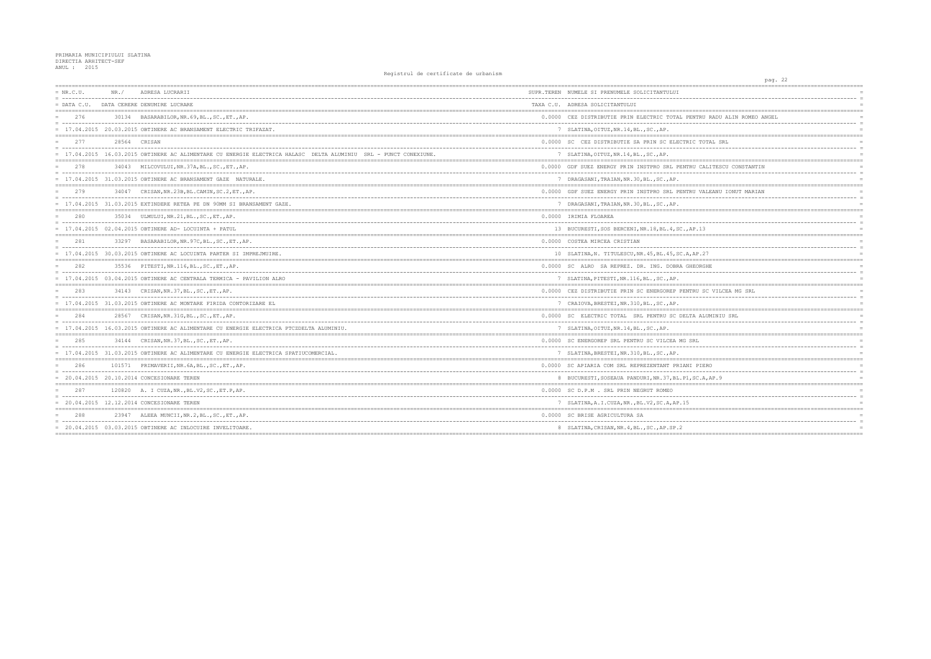## PRIMARIA MUNICIPIULUI SLATINA<br>DIRECTIA ARHITECT-SEF<br>ANUL : 2015

| $= NR.C.U.$   | NR. / | ADRESA LUCRARII                                                                                                | SUPR.TEREN NUMELE SI PRENUMELE SOLICITANTULUI        |
|---------------|-------|----------------------------------------------------------------------------------------------------------------|------------------------------------------------------|
| $=$ DATA C.U. |       | DATA CERERE DENUMIRE LUCRARE                                                                                   | TAXA C.U. ADRESA SOLICITANTULUI                      |
| 276           |       | 30134 BASARABILOR, NR. 69, BL., SC., ET., AP.                                                                  | 0.0000 CEZ DISTRIBUTIE PRIN ELECTRIC TOTAL PENTR     |
|               |       | = 17.04.2015 20.03.2015 OBTINERE AC BRANSAMENT ELECTRIC TRIFAZAT.                                              | 7 SLATINA, OITUZ, NR. 14, BL., SC., AP.              |
| 277           |       | 28564 CRISAN                                                                                                   | 0.0000 SC CEZ DISTRIBUTIE SA PRIN SC ELECTRIC TO     |
|               |       | 17.04.2015 16.03.2015 OBTINERE AC ALIMENTARE CU ENERGIE ELECTRICA HALASC DELTA ALUMINIU SRL - PUNCT CONEXIUNE. | 7 SLATINA, OITUZ, NR. 14, BL., SC., AP.              |
| 278           |       | 34043 MILCOVULUI, NR. 37A, BL., SC., ET., AP.                                                                  | 0.0000 GDF SUEZ ENERGY PRIN INSTPRO SRL PENTRU C     |
|               |       | = 17.04.2015 31.03.2015 OBTINERE AC BRANSAMENT GAZE NATURALE.                                                  | 7 DRAGASANI, TRAIAN, NR. 30, BL., SC., AP.           |
| 279           | 34047 | CRISAN, NR. 23B, BL. CAMIN, SC. 2, ET., AP.                                                                    | 0.0000 GDF SUEZ ENERGY PRIN INSTPRO SRL PENTRU V     |
|               |       | = 17.04.2015 31.03.2015 EXTINDERE RETEA PE DN 90MM SI BRANSAMENT GAZE.                                         | 7 DRAGASANI, TRAIAN, NR. 30, BL., SC., AP.           |
| 280           |       | 35034 ULMULUI, NR.21, BL., SC., ET., AP.                                                                       | 0.0000 IRIMIA FLOAREA                                |
|               |       | 17.04.2015 02.04.2015 OBTINERE AD- LOCUINTA + PATUL                                                            | 13 BUCURESTI, SOS BERCENI, NR.18, BL.4, SC., AP.1    |
| 281           |       | 33297 BASARABILOR, NR. 97C, BL., SC., ET., AP.                                                                 | 0.0000 COSTEA MIRCEA CRISTIAN                        |
|               |       | = 17.04.2015 30.03.2015 OBTINERE AC LOCUINTA PARTER SI IMPREJMUIRE.                                            | 10 SLATINA, N. TITULESCU, NR. 45, BL. 45, SC. A, AP. |
| 282           | 35536 | PITESTI, NR.116, BL., SC., ET., AP.                                                                            | 0.0000 SC ALRO SA REPREZ, DR. ING. DOBRA GHEOR       |
|               |       | $= 17.04.2015$ 03.04.2015 OBTINERE AC CENTRALA TERMICA - PAVILION ALRO                                         | 7 SLATINA, PITESTI, NR. 116, BL., SC., AP.           |
| 283           |       | 34143 CRISAN, NR. 37, BL., SC., ET., AP.                                                                       | 0.0000 CEZ DISTRIBUTIE PRIN SC ENERGOREP PENTRU      |
|               |       | $= 17.04.2015$ 31.03.2015 OBTINERE AC MONTARE FIRIDA CONTORIZARE EL                                            | 7 CRAIOVA, BRESTEI, NR.310, BL., SC., AP.            |
| 284           | 28567 | CRISAN, NR. 31G, BL., SC., ET., AP.                                                                            | 0.0000 SC ELECTRIC TOTAL SRL PENTRU SC DELTA A       |
|               |       | 17.04.2015 16.03.2015 OBTINERE AC ALIMENTARE CU ENERGIE ELECTRICA PTCZDELTA ALUMINIU.                          | 7 SLATINA, OITUZ, NR. 14, BL., SC., AP.              |
| 285           |       | 34144 CRISAN, NR. 37, BL., SC., ET., AP.                                                                       | 0.0000 SC ENERGOREP SRL PENTRU SC VILCEA MG SRL      |
|               |       | = 17.04.2015 31.03.2015 OBTINERE AC ALIMENTARE CU ENERGIE ELECTRICA SPATIUCOMERCIAL.                           | 7 SLATINA, BRESTEI, NR. 310, BL., SC., AP.           |
| 286           |       | 101571 PRIMAVERII, NR. 6A, BL., SC., ET., AP.                                                                  | 0.0000 SC APIARIA COM SRL REPREZENTANT PRIANI PII    |
|               |       | = 20.04.2015 20.10.2014 CONCESIONARE TEREN                                                                     | 8 BUCURESTI, SOSEAUA PANDURI, NR. 37, BL. P1, SC.    |
| 287           |       | 120820 A. I CUZA, NR., BL.V2, SC., ET. P, AP.                                                                  | 0.0000 SC D.P.M . SRL PRIN NEGRUT ROMEO              |
|               |       | = 20.04.2015 12.12.2014 CONCESIONARE TEREN                                                                     | 7 SLATINA, A.I.CUZA, NR., BL.V2, SC.A, AP.15         |
| 288           |       | 23947 ALEEA MUNCII, NR. 2, BL., SC., ET., AP.                                                                  | 0.0000 SC BRISE AGRICULTURA SA                       |
|               |       | $= 20.04.2015 03.03.2015$ OBTINERE AC INLOCUIRE INVELITOARE.                                                   | 8 SLATINA, CRISAN, NR. 4, BL., SC., AP.SP.2          |
|               |       |                                                                                                                |                                                      |

| pag. 22                                       |                |
|-----------------------------------------------|----------------|
| --------------------------------              |                |
| -----------------------------                 | $\equiv$       |
|                                               |                |
| J RADU ALIN ROMEO ANGEL                       |                |
|                                               | $\equiv$       |
|                                               |                |
|                                               |                |
| OTAL SRL                                      | $\equiv$       |
|                                               |                |
|                                               |                |
| ALITESCU CONSTANTIN                           | $\equiv$       |
|                                               |                |
|                                               |                |
| ALEANU IONUT MARIAN                           | $=$            |
|                                               | $\equiv$       |
|                                               | $=$            |
|                                               |                |
| -----------------------------<br>.            | $\equiv$       |
| 3                                             |                |
|                                               |                |
|                                               | $\equiv$       |
| 27                                            |                |
| GHE                                           |                |
|                                               | $\equiv$       |
|                                               | $=$            |
|                                               |                |
| SC VILCEA MG SRL                              | $\equiv$       |
|                                               |                |
|                                               |                |
| UMINIU SRL                                    |                |
|                                               | $\equiv$       |
|                                               |                |
|                                               |                |
| -------------------------------<br>$---$      | $\equiv$       |
|                                               |                |
| ERO                                           |                |
|                                               | $\equiv$       |
| 4, AP. 9                                      |                |
|                                               |                |
|                                               | $\overline{a}$ |
|                                               | $=$            |
| =========<br>-------------------------------- |                |
| ________________________                      |                |
|                                               | $=$            |
| ===========                                   |                |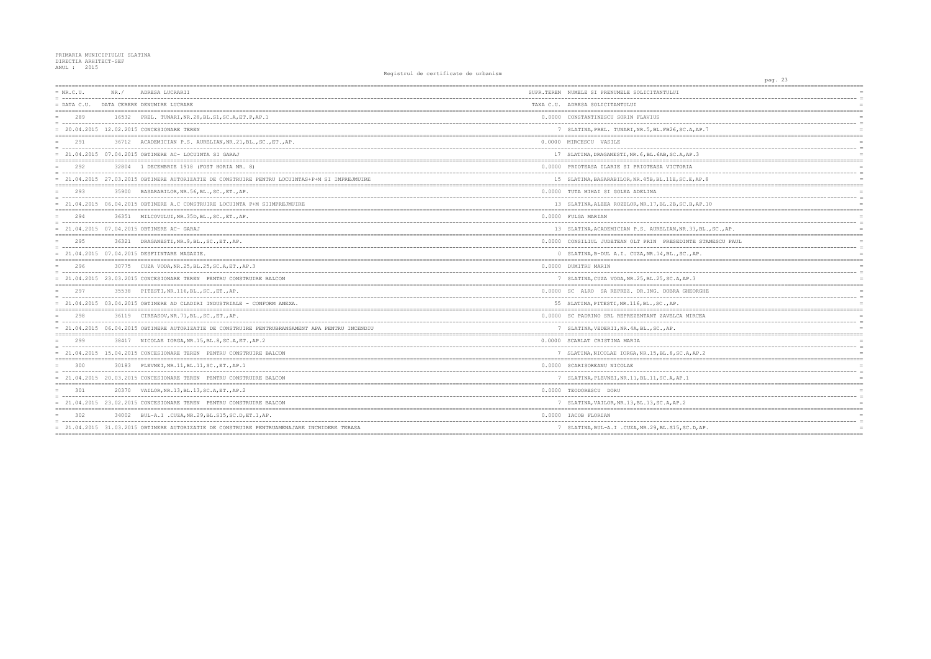| $= NR.C.U.$   | NR. / | ADRESA LUCRARII                                                                                 | SUPR.TEREN NUMELE SI PRENUMELE SOLICITANTULUI        |
|---------------|-------|-------------------------------------------------------------------------------------------------|------------------------------------------------------|
| $=$ DATA C.U. |       | DATA CERERE DENUMIRE LUCRARE                                                                    | TAXA C.U. ADRESA SOLICITANTULUI                      |
| 289           |       | 16532 PREL. TUNARI, NR. 28, BL. S1, SC. A, ET. P, AP. 1                                         | 0.0000 CONSTANTINESCU SORIN FLAVIUS                  |
|               |       | = 20.04.2015 12.02.2015 CONCESIONARE TEREN                                                      | 7 SLATINA, PREL. TUNARI, NR. 5, BL. FB26, SC. A, AP  |
| 291           | 36712 | ACADEMICIAN P.S. AURELIAN, NR. 21, BL., SC., ET., AP.                                           | 0.0000 MIRCESCU VASILE                               |
|               |       | $= 21.04.2015$ 07.04.2015 OBTINERE AC-LOCUINTA SI GARAJ                                         | 17 SLATINA, DRAGANESTI, NR. 6, BL. 6AB, SC. A, AP. 3 |
| 292           |       | 32804 1 DECEMBRIE 1918 (FOST HORIA NR. 8)                                                       | 0.0000 PRIOTEASA ILARIE SI PRIOTEASA VICTORIA        |
|               |       | 21.04.2015 27.03.2015 OBTINERE AUTORIZATIE DE CONSTRUIRE PENTRU LOCUINTAS+P+M SI IMPREJMUIRE    | 15 SLATINA, BASARABILOR, NR. 45B, BL. 11E, SC. E, AP |
| 293           |       | 35900 BASARABILOR, NR.56, BL., SC., ET., AP.                                                    | 0.0000 TUTA MIHAI SI GOLEA ADELINA                   |
|               |       | = 21.04.2015 06.04.2015 OBTINERE A.C CONSTRUIRE LOCUINTA P+M SIIMPREJMUIRE                      | 13 SLATINA, ALEEA ROZELOR, NR. 17, BL. 2B, SC. B, AP |
| 294           |       | 36351 MILCOVULUI, NR. 35D, BL., SC., ET., AP.                                                   | 0.0000 FULGA MARIAN                                  |
|               |       | = 21.04.2015 07.04.2015 OBTINERE AC- GARAJ                                                      | 13 SLATINA, ACADEMICIAN P.S. AURELIAN, NR. 33, B.    |
| 295           |       | 36321 DRAGANESTI, NR. 9, BL., SC., ET., AP.                                                     | 0.0000 CONSILIUL JUDETEAN OLT PRIN PRESEDINTE S'     |
|               |       | = 21.04.2015 07.04.2015 DESFIINTARE MAGAZIE.                                                    | 0 SLATINA, B-DUL A.I. CUZA, NR.14, BL., SC., AP.     |
| 296           |       | 30775 CUZA VODA, NR. 25, BL. 25, SC. A, ET., AP. 3                                              | 0.0000 DUMITRU MARIN                                 |
|               |       | = 21.04.2015 23.03.2015 CONCESIONARE TEREN PENTRU CONSTRUIRE BALCON                             | 7 SLATINA, CUZA VODA, NR. 25, BL. 25, SC. A, AP. 3   |
| 297           |       | 35538 PITESTI, NR.116, BL., SC., ET., AP.                                                       | 0.0000 SC ALRO SA REPREZ, DR.ING. DOBRA GHEORGI      |
|               |       | 21.04.2015 03.04.2015 OBTINERE AD CLADIRI INDUSTRIALE - CONFORM ANEXA.                          | 55 SLATINA, PITESTI, NR. 116, BL., SC., AP.          |
| 298           |       | 36119 CIREASOV, NR. 71, BL., SC., ET., AP.                                                      | 0.0000 SC PADRINO SRL REPREZENTANT ZAVELCA MIRCE.    |
|               |       | = 21.04.2015 06.04.2015 OBTINERE AUTORIZATIE DE CONSTRUIRE PENTRUBRANSAMENT APA PENTRU INCENDIU | 7 SLATINA, VEDERII, NR. 4A, BL., SC., AP.            |
| 299           |       | 38417 NICOLAE IORGA, NR.15, BL.8, SC.A, ET., AP.2                                               | 0.0000 SCARLAT CRISTINA MARIA                        |
|               |       | = 21.04.2015 15.04.2015 CONCESIONARE TEREN PENTRU CONSTRUIRE BALCON                             | 7 SLATINA, NICOLAE IORGA, NR.15, BL.8, SC.A, AP.     |
| 300           |       | 30183 PLEVNEI, NR. 11, BL. 11, SC., ET., AP. 1                                                  | 0.0000 SCARISOREANU NICOLAE                          |
|               |       | 21.04.2015 20.03.2015 CONCESIONARE TEREN PENTRU CONSTRUIRE BALCON                               | 7 SLATINA, PLEVNEI, NR. 11, BL. 11, SC. A, AP. 1     |
| 301           |       | 20370 VAILOR, NR. 13, BL. 13, SC. A, ET., AP. 2                                                 | 0.0000 TEODORESCU DORU                               |
|               |       | = 21.04.2015 23.02.2015 CONCESIONARE TEREN PENTRU CONSTRUIRE BALCON                             | 7 SLATINA, VAILOR, NR. 13, BL. 13, SC. A, AP. 2      |
| 302           | 34002 | BUL-A.I.CUZA, NR.29, BL.S15, SC.D, ET.1, AP.                                                    | 0.0000 TACOB FLORTAN                                 |
|               |       | = 21.04.2015 31.03.2015 OBTINERE AUTORIZATIE DE CONSTRUIRE PENTRUAMENAJARE INCHIDERE TERASA     | 7 SLATINA, BUL-A.I.CUZA, NR.29, BL.S15, SC.D.A.      |
|               |       |                                                                                                 |                                                      |

| pag. 23<br>----------------                           |                |
|-------------------------------------------------------|----------------|
| ;==================                                   |                |
|                                                       | $\equiv$       |
|                                                       |                |
|                                                       |                |
|                                                       |                |
| .7                                                    | $\overline{a}$ |
| ============<br>-------------------------             |                |
|                                                       |                |
|                                                       | $\overline{a}$ |
|                                                       |                |
|                                                       |                |
|                                                       |                |
| . 8                                                   |                |
| ------                                                |                |
|                                                       | $=$            |
|                                                       | $\overline{a}$ |
| .10<br>========<br>---------------------------------- |                |
|                                                       |                |
| .<br>----                                             | $=$            |
| $L$ ., SC., AP.                                       |                |
|                                                       |                |
| TANESCU PAUL                                          |                |
|                                                       | $\overline{a}$ |
|                                                       |                |
|                                                       |                |
|                                                       | $\overline{a}$ |
|                                                       | $\equiv$       |
| ===<br>$=$ $=$ $=$ $=$                                |                |
| HΕ                                                    | $\overline{a}$ |
|                                                       |                |
| ======<br>;===========================<br>$=$         |                |
| Á                                                     |                |
|                                                       | $\overline{a}$ |
|                                                       |                |
|                                                       |                |
|                                                       | $\overline{a}$ |
| $\overline{c}$                                        |                |
|                                                       |                |
|                                                       |                |
|                                                       | $=$            |
|                                                       |                |
|                                                       |                |
|                                                       | $\overline{a}$ |
|                                                       | $=$            |
|                                                       |                |
|                                                       |                |
|                                                       | $\equiv$       |
| Ρ.<br>=======                                         | $=$            |
|                                                       |                |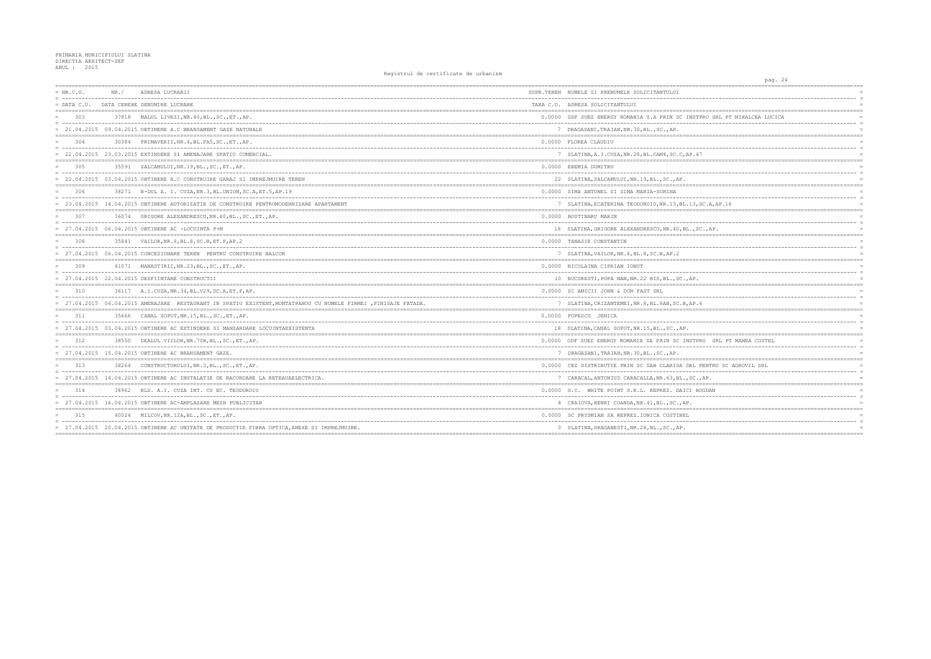| $= NR.C.U.$   | NR. / | ADRESA LUCRARII                                                                                                  | SUPR.TEREN NUMELE SI PRENUMELE SOLICITANTULUI        |
|---------------|-------|------------------------------------------------------------------------------------------------------------------|------------------------------------------------------|
| $=$ DATA C.U. |       | DATA CERERE DENUMIRE LUCRARE                                                                                     | TAXA C.U. ADRESA SOLICITANTULUI                      |
| 303           |       | 37818 MALUL LIVEZI, NR. 40, BL., SC., ET., AP.                                                                   | 0.0000 GDF SUEZ ENERGY ROMANIA S.A PRIN SC INSTP     |
|               |       | = 21.04.2015 09.04.2015 OBTINERE A.C BRANSAMENT GAZE NATURALE                                                    | 7 DRAGASANI, TRAIAN, NR.30, BL., SC., AP.            |
| 304<br>$=$    | 30384 | PRIMAVERII, NR. 4, BL. FA5, SC., ET., AP.                                                                        | 0.0000 FLOREA CLAUDIU                                |
|               |       | = 22.04.2015 23.03.2015 EXTINDERE SI AMENAJARE SPATIU COMERCIAL.                                                 | 7 SLATINA, A.I.CUZA, NR. 28, BL. CAM4, SC. C, AP. 47 |
| 305           |       | 35591 SALCAMULUI, NR. 19, BL., SC., ET., AP.                                                                     | 0.0000 EREMIA DUMITRU                                |
|               |       | 22.04.2015 03.04.2015 OBTINERE A.C CONSTRUIRE GARAJ SI IMPREJMUIRE TEREN                                         | 22 SLATINA, SALCAMULUI, NR. 19, BL., SC., AP.        |
| 306           |       | 38271 B-DUL A. I. CUZA, NR. 3, BL. UNION, SC. A, ET. 5, AP. 19                                                   | 0.0000 SIMA ANTONEL SI SIMA MARIA-SORINA             |
|               |       | 23.04.2015 14.04.2015 OBTINERE AUTORIZATIE DE CONSTRUIRE PENTRUMODERNIZARE APARTAMENT                            | 7 SLATINA, ECATERINA TEODOROIU, NR. 13, BL. 13, S    |
| 307           | 36074 | GRIGORE ALEXANDRESCU.NR.40.BLSCETAP.                                                                             | 0.0000 BOSTINARU MARIN                               |
|               |       | $= 27.04.2015 06.04.2015$ OBTINERE AC -LOCUINTA P+M                                                              | 18 SLATINA, GRIGORE ALEXANDRESCU, NR. 40, BL., SC    |
| 308           |       | 35841 VAILOR, NR. 8, BL. 8, SC. B, ET. P, AP. 2                                                                  | 0.0000 TANASIE CONSTANTIN                            |
|               |       | 27.04.2015 06.04.2015 CONCESIONARE TEREN PENTRU CONSTRUIRE BALCON                                                | 7 SLATINA, VAILOR, NR. 8, BL. 8, SC. B, AP. 2        |
| 309           |       | 41071 MANASTIRII, NR.23, BL., SC., ET., AP.                                                                      | 0.0000 NICOLAINA CIPRIAN IONUT                       |
|               |       | 27.04.2015 22.04.2015 DESFIINTARE CONSTRUCTII                                                                    | 10 BUCURESTI, POPA NAN, NR. 22 BIS, BL., SC., AP.    |
| 310           |       | 36117 A.I.CUZA, NR. 34, BL. V29, SC. A, ET. P, AP.                                                               | 0.0000 SC AMICII JOHN & DON FAST SRL                 |
|               |       | = 27.04.2015 06.04.2015 AMENAJARE RESTAURANT IN SPATIU EXISTENT, MONTATPANOU CU NUMELE FIRMEI , FINISAJE FATADA. | 7 SLATINA, CRIZANTEMEI, NR. 8, BL. 8AB, SC. B, AP. 6 |
| 311           |       | 35666 CANAL SOPOT.NR.15.BLSCETAP.                                                                                | 0.0000 POPESCU JENICA                                |
|               |       | = 27.04.2015 03.04.2015 OBTINERE AC EXTINDERE SI MANSARDARE LOCUINTAEXISTENTA                                    | 18 SLATINA, CANAL SOPOT, NR.15, BL., SC., AP.        |
| 312           | 38550 | DEALUL VIILOR, NR. 70B, BL., SC., ET., AP.                                                                       | 0.0000 GDF SUEZ ENERGY ROMANIA SA PRIN SC INSTPR     |
|               |       | = 27.04.2015 15.04.2015 OBTINERE AC BRANSAMENT GAZE                                                              | 7 DRAGASANI, TRAIAN, NR. 30, BL., SC., AP.           |
| 313           |       | 38264 CONSTRUCTORULUI, NR. 3, BL., SC., ET., AP.                                                                 | 0.0000 CEZ DISTRIBUTIE PRIN SC GAB CLARISA SRL PI    |
|               |       | 27.04.2015 14.04.2015 OBTINERE AC INSTALATIE DE RACORDARE LA RETEAUAELECTRICA.                                   | 7 CARACAL, ANTONIUS CARACALLA, NR. 63, BL., SC.,     |
| 314           |       | 38962 BLD. A.I. CUZA INT. CU EC. TEODOROIU                                                                       | 0.0000 S.C. WHITE POINT S.R.L. REPREZ. DAICI BO      |
|               |       | = 27.04.2015 16.04.2015 OBTINERE AC-AMPLASARE MESH PUBLICITAR                                                    | 8 CRAIOVA, HENRI COANDA, NR. 41, BL., SC., AP.       |
| 315           | 40024 | MILCOV, NR.12A, BL., SC., ET., AP.                                                                               | 0.0000 SC PRYSMIAN SA REPREZ.IONICA COSTINEL         |
|               |       | = 27.04.2015 20.04.2015 OBTINERE AC UNITATE DE PRODUCTIE FIBRA OPTICA, ANEXE SI IMPREJMUIRE.                     | 0 SLATINA, DRAGANESTI, NR. 28, BL., SC., AP.         |

|                             | pag. 24 |                                    |                      |
|-----------------------------|---------|------------------------------------|----------------------|
|                             |         |                                    |                      |
|                             |         |                                    | $\equiv$             |
|                             |         |                                    | $=$                  |
|                             |         |                                    |                      |
| RO SRL PT MIHALCEA LUCICA   |         |                                    |                      |
|                             |         |                                    | $\equiv$             |
|                             |         |                                    |                      |
|                             |         |                                    |                      |
|                             |         |                                    | $\overline{a}$       |
|                             |         |                                    | $=$                  |
|                             |         |                                    |                      |
|                             |         |                                    |                      |
|                             |         |                                    | $\equiv$             |
|                             |         |                                    |                      |
|                             |         |                                    |                      |
|                             |         |                                    | $\equiv$             |
| C.A, AP.16                  |         |                                    | $=$                  |
|                             |         |                                    | $=$                  |
|                             |         |                                    |                      |
| ., AP.                      |         |                                    | $\equiv$<br>$=$      |
| ==========                  |         | ---------------------------------- | $=$                  |
|                             |         |                                    |                      |
|                             |         |                                    | $\equiv$             |
|                             |         |                                    |                      |
|                             |         |                                    |                      |
|                             |         |                                    |                      |
|                             |         |                                    | $\equiv$<br>$\equiv$ |
|                             |         |                                    |                      |
|                             |         |                                    |                      |
|                             |         |                                    | $\equiv$             |
|                             |         |                                    |                      |
|                             |         |                                    |                      |
|                             |         |                                    | $\equiv$             |
|                             |         |                                    | $=$                  |
|                             |         |                                    | $=$                  |
| SRL PT MANEA COSTEL<br>C    |         |                                    |                      |
|                             |         |                                    | $\equiv$             |
|                             |         |                                    |                      |
|                             |         |                                    |                      |
| ENTRU SC AGROVIL SRL<br>$-$ |         |                                    | $\equiv$             |
| AΡ.                         |         |                                    |                      |
|                             |         | =======                            | $=$                  |
| <b>GDAN</b>                 |         |                                    |                      |
|                             |         |                                    | $\equiv$             |
|                             |         |                                    | $=$                  |
|                             |         |                                    | $=$                  |
|                             |         |                                    | $\equiv$             |
|                             |         |                                    |                      |
|                             |         |                                    |                      |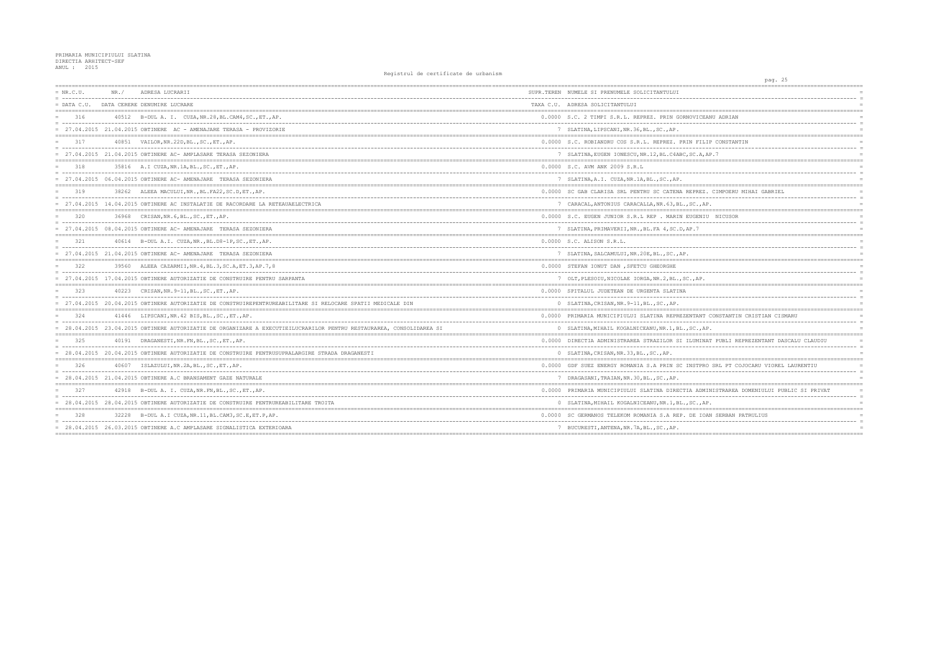| $= NR.C.U.$   | NR. / | ADRESA LUCRARII                                                                                                      | SUPR.TEREN NUMELE SI PRENUMELE SOLICITANTULUI      |
|---------------|-------|----------------------------------------------------------------------------------------------------------------------|----------------------------------------------------|
| $=$ DATA C.U. |       | DATA CERERE DENUMIRE LUCRARE                                                                                         | TAXA C.U. ADRESA SOLICITANTULUI                    |
| 316           |       | 40512 B-DUL A. I. CUZA, NR. 28, BL. CAM4, SC., ET., AP.                                                              | 0.0000 S.C. 2 TIMPI S.R.L. REPREZ. PRIN GORNOVICI  |
|               |       | 27.04.2015 21.04.2015 OBTINERE AC - AMENAJARE TERASA - PROVIZORIE                                                    | 7 SLATINA, LIPSCANI, NR. 36, BL., SC., AP.         |
| 317           |       | 40851 VAILOR, NR. 22D, BL., SC., ET., AP.                                                                            | 0.0000 S.C. ROBIANDRU COS S.R.L. REPREZ. PRIN FI   |
|               |       | $= 27.04.2015 21.04.2015$ OBTINERE AC-AMPLASARE TERASA SEZONIERA                                                     | 7 SLATINA, EUGEN IONESCU, NR.12, BL.C4ABC, SC.A    |
| 318           |       | 35816 A.I CUZA, NR. 1A, BL., SC., ET., AP.                                                                           | 0.0000 S.C. AVM ANK 2009 S.R.L                     |
|               |       | $= 27.04.2015$ 06.04.2015 OBTINERE AC-AMENAJARE TERASA SEZONIERA                                                     | 7 SLATINA, A.I. CUZA, NR. 1A, BL., SC., AP.        |
| 319           |       | 38262 ALEEA MACULUI, NR., BL. FA22, SC. D, ET., AP.                                                                  | 0.0000 SC GAB CLARISA SRL PENTRU SC CATENA REPRE   |
|               |       | 27.04.2015 14.04.2015 OBTINERE AC INSTALATIE DE RACORDARE LA RETEAUAELECTRICA                                        | 7 CARACAL, ANTONIUS CARACALLA, NR. 63, BL., SC.,   |
| 320           |       | 36968 CRISAN, NR. 6, BL., SC., ET., AP.                                                                              | 0.0000 S.C. EUGEN JUNIOR S.R.L REP. MARIN EUGEN    |
|               |       | 27.04.2015 08.04.2015 OBTINERE AC- AMENAJARE TERASA SEZONIERA                                                        | 7 SLATINA, PRIMAVERII, NR., BL. FA 4, SC. D, AP. 7 |
| 321           |       | 40614 B-DUL A.I. CUZA, NR., BL.D8-1P, SC., ET., AP.                                                                  | 0.0000 S.C. ALISON S.R.L.                          |
|               |       | = 27.04.2015 21.04.2015 OBTINERE AC- AMENAJARE TERASA SEZONIERA                                                      | 7 SLATINA, SALCAMULUI, NR. 20E, BL., SC., AP.      |
| 322           | 39560 | ALEEA CAZARMII, NR. 4, BL. 3, SC. A, ET. 3, AP. 7, 8                                                                 | 0.0000 STEFAN IONUT DAN, SFETCU GHEORGHE           |
|               |       | = 27.04.2015 17.04.2015 OBTINERE AUTORIZATIE DE CONSTRUIRE PENTRU SARPANTA                                           | 7 OLT, PLESOIU, NICOLAE IORGA, NR. 2, BL., SC., AP |
| 323           |       | 40223 CRISAN, NR. 9-11, BL., SC., ET., AP.                                                                           | 0.0000 SPITALUL JUDETEAN DE URGENTA SLATINA        |
|               |       | 27.04.2015 20.04.2015 OBTINERE AUTORIZATIE DE CONSTRUIREPENTRUREABILITARE SI RELOCARE SPATII MEDICALE DIN            | 0 SLATINA, CRISAN, NR. 9-11, BL., SC., AP.         |
| 324           |       | 41446 LIPSCANI, NR. 42 BIS, BL., SC., ET., AP.                                                                       | 0.0000 PRIMARIA MUNICIPIULUI SLATINA REPREZENTAN   |
|               |       | = 28.04.2015 23.04.2015 OBTINERE AUTORIZATIE DE ORGANIZARE A EXECUTIEILUCRARILOR PENTRU RESTAURAREA, CONSOLIDAREA SI | 0 SLATINA, MIHAIL KOGALNICEANU, NR. 1, BL., SC.,   |
| 325           |       | 40191 DRAGANESTI, NR. FN, BL., SC., ET., AP.                                                                         | 0.0000 DIRECTIA ADMINISTRAREA STRAZILOR SI ILUMII  |
|               |       | = 28.04.2015 20.04.2015 OBTINERE AUTORIZATIE DE CONSTRUIRE PENTRUSUPRALARGIRE STRADA DRAGANESTI                      | 0 SLATINA, CRISAN, NR. 33, BL., SC., AP.           |
| 326           |       | 40607 ISLAZULUI, NR.2A, BL., SC., ET., AP.                                                                           | 0.0000 GDF SUEZ ENERGY ROMANIA S.A PRIN SC INSTP   |
|               |       | $= 28.04.2015 21.04.2015$ OBTINERE A.C BRANSAMENT GAZE NATURALE                                                      | 7 DRAGASANI, TRAIAN, NR.30, BL., SC., AP.          |
|               |       | 42918 B-DUL A. I. CUZA, NR. FN, BL., SC., ET., AP.                                                                   | 0.0000 PRIMARIA MUNICIPIULUI SLATINA DIRECTIA ADI  |
|               |       | 28.04.2015 28.04.2015 OBTINERE AUTORIZATIE DE CONSTRUIRE PENTRUREABILITARE TROITA                                    | 0 SLATINA, MIHAIL KOGALNICEANU, NR. 1, BL., SC.,   |
| 328           |       | 32228 B-DUL A.I CUZA, NR. 11, BL. CAM3, SC. E, ET. P, AP.                                                            | 0.0000 SC GERMANOS TELEKOM ROMANIA S.A REP. DE I   |
|               |       | = 28.04.2015 26.03.2015 OBTINERE A.C AMPLASARE SIGNALISTICA EXTERIOARA                                               | 7 BUCURESTI, ANTENA, NR. 7A, BL., SC., AP.         |
|               |       |                                                                                                                      |                                                    |

| pag. 25                                         |          |
|-------------------------------------------------|----------|
|                                                 |          |
| ------------------------                        |          |
|                                                 |          |
|                                                 |          |
| EANU ADRIAN                                     |          |
| --------------                                  | $\equiv$ |
|                                                 |          |
| LIP CONSTANTIN                                  |          |
| $\frac{1}{2}$                                   | $\equiv$ |
| , AP.7                                          | $=$      |
|                                                 |          |
|                                                 |          |
|                                                 |          |
|                                                 |          |
|                                                 | $=$      |
| Z. CIMPOERU MIHAI GABRIEL<br>---------          | $\equiv$ |
| AP.                                             | $=$      |
|                                                 |          |
| IU NICUSOR                                      |          |
| -----------------------------                   | $=$      |
|                                                 |          |
|                                                 |          |
|                                                 |          |
|                                                 |          |
|                                                 |          |
|                                                 |          |
|                                                 | $\equiv$ |
|                                                 | $=$      |
|                                                 |          |
|                                                 | $=$      |
|                                                 |          |
|                                                 |          |
|                                                 |          |
| T CONSTANTIN CRISTIAN CISMARU<br>$---$          | $\equiv$ |
| AP.                                             |          |
|                                                 |          |
| NAT PUBLI REPREZENTANT DASCALU CLAUDIU          | $=$      |
|                                                 | $\equiv$ |
|                                                 |          |
|                                                 |          |
| RO SRL PT COJOCARU VIOREL LAURENTIU<br>-------- | $\equiv$ |
|                                                 |          |
|                                                 |          |
| MINISTRAREA DOMENIULUI PUBLIC SI PRIVAT         |          |
| $- -$                                           | $\equiv$ |
| AP.                                             |          |
| $=$                                             |          |
| OAN SERBAN PATRULIUS                            |          |
|                                                 |          |
|                                                 |          |
|                                                 |          |